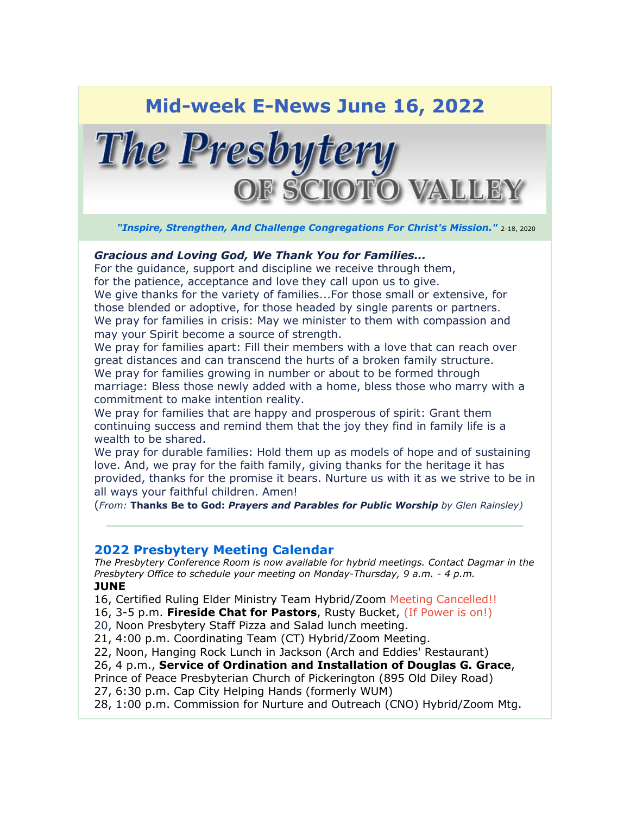# **Mid-week E-News June 16, 2022**



*"Inspire, Strengthen, And Challenge Congregations For Christ's Mission."* 2-18, 2020

#### *Gracious and Loving God, We Thank You for Families...*

For the guidance, support and discipline we receive through them, for the patience, acceptance and love they call upon us to give. We give thanks for the variety of families...For those small or extensive, for those blended or adoptive, for those headed by single parents or partners. We pray for families in crisis: May we minister to them with compassion and may your Spirit become a source of strength.

We pray for families apart: Fill their members with a love that can reach over great distances and can transcend the hurts of a broken family structure. We pray for families growing in number or about to be formed through marriage: Bless those newly added with a home, bless those who marry with a commitment to make intention reality.

We pray for families that are happy and prosperous of spirit: Grant them continuing success and remind them that the joy they find in family life is a wealth to be shared.

We pray for durable families: Hold them up as models of hope and of sustaining love. And, we pray for the faith family, giving thanks for the heritage it has provided, thanks for the promise it bears. Nurture us with it as we strive to be in all ways your faithful children. Amen!

(*From:* **Thanks Be to God:** *Prayers and Parables for Public Worship by Glen Rainsley)*

# **2022 Presbytery Meeting Calendar**

*The Presbytery Conference Room is now available for hybrid meetings. Contact Dagmar in the Presbytery Office to schedule your meeting on Monday-Thursday, 9 a.m. - 4 p.m.* **JUNE**

16, Certified Ruling Elder Ministry Team Hybrid/Zoom Meeting Cancelled!!

16, 3-5 p.m. **Fireside Chat for Pastors**, Rusty Bucket, (If Power is on!)

20, Noon Presbytery Staff Pizza and Salad lunch meeting.

21, 4:00 p.m. Coordinating Team (CT) Hybrid/Zoom Meeting.

22, Noon, Hanging Rock Lunch in Jackson (Arch and Eddies' Restaurant)

26, 4 p.m., **Service of Ordination and Installation of Douglas G. Grace**,

Prince of Peace Presbyterian Church of Pickerington (895 Old Diley Road)

27, 6:30 p.m. Cap City Helping Hands (formerly WUM)

28, 1:00 p.m. Commission for Nurture and Outreach (CNO) Hybrid/Zoom Mtg.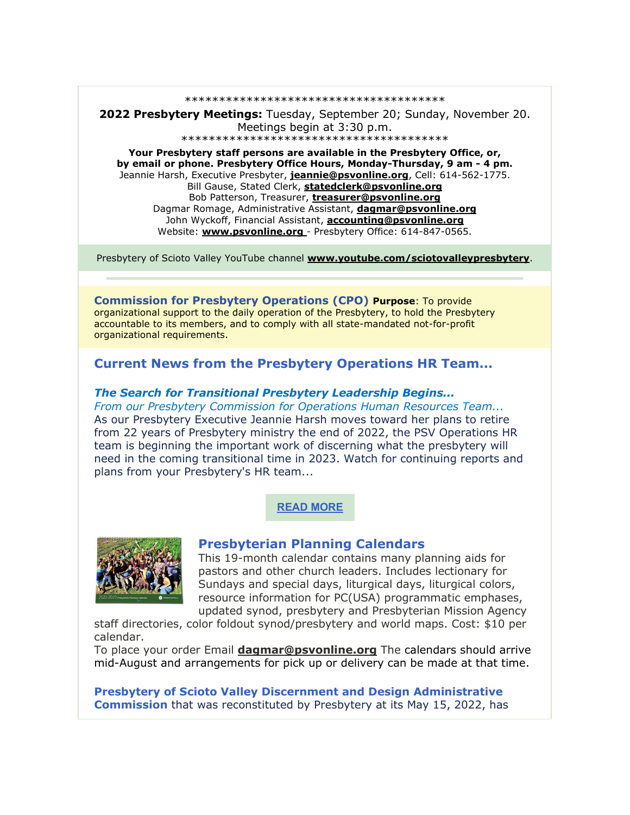\*\*\*\*\*\*\*\*\*\*\*\*\*\*\*\*\*\*\*\*\*\*\*\*\*\*\*\*\*\*\*\*\*\*\*\*\*\*

**2022 Presbytery Meetings:** Tuesday, September 20; Sunday, November 20. Meetings begin at 3:30 p.m. \*\*\*\*\*\*\*\*\*\*\*\*\*\*\*\*\*\*\*\*\*\*\*\*\*\*\*\*\*\*\*\*\*\*\*\*\*\*\*

**Your Presbytery staff persons are available in the Presbytery Office, or, by email or phone. Presbytery Office Hours, Monday-Thursday, 9 am - 4 pm.** Jeannie Harsh, Executive Presbyter, **[jeannie@psvonline.org](mailto:jeannie@psvonline.org)**, Cell: 614-562-1775. Bill Gause, Stated Clerk, **[statedclerk@psvonline.org](mailto:statedclerk@psvonline.org)** Bob Patterson, Treasurer, **[treasurer@psvonline.org](mailto:treasurer@psvonline.org)** Dagmar Romage, Administrative Assistant, **[dagmar@psvonline.org](mailto:dagmar@psvonline.org)** John Wyckoff, Financial Assistant, **[accounting@psvonline.org](mailto:accounting@psvonline.org)** Website: **[www.psvonline.org](http://www.psvonline.org/)** - Presbytery Office: 614-847-0565.

Presbytery of Scioto Valley YouTube channel **[www.youtube.com/sciotovalleypresbytery](http://www.youtube.com/sciotovalleypresbytery)**.

**Commission for Presbytery Operations (CPO) Purpose**: To provide organizational support to the daily operation of the Presbytery, to hold the Presbytery accountable to its members, and to comply with all state-mandated not-for-profit organizational requirements.

# **Current News from the Presbytery Operations HR Team...**

#### *The Search for Transitional Presbytery Leadership Begins...*

*From our Presbytery Commission for Operations Human Resources Team...* As our Presbytery Executive Jeannie Harsh moves toward her plans to retire from 22 years of Presbytery ministry the end of 2022, the PSV Operations HR team is beginning the important work of discerning what the presbytery will need in the coming transitional time in 2023. Watch for continuing reports and plans from your Presbytery's HR team...

### **[READ MORE](https://psvonline.org/?post_type=pydnet_publications&p=18152&preview=true)**



### **Presbyterian Planning Calendars**

This 19-month calendar contains many planning aids for pastors and other church leaders. Includes lectionary for Sundays and special days, liturgical days, liturgical colors, resource information for PC(USA) programmatic emphases, updated synod, presbytery and Presbyterian Mission Agency

staff directories, color foldout synod/presbytery and world maps. Cost: \$10 per calendar.

To place your order Email **[dagmar@psvonline.org](mailto:dagmar@psvonline.org)** The calendars should arrive mid-August and arrangements for pick up or delivery can be made at that time.

**Presbytery of Scioto Valley Discernment and Design Administrative Commission** that was reconstituted by Presbytery at its May 15, 2022, has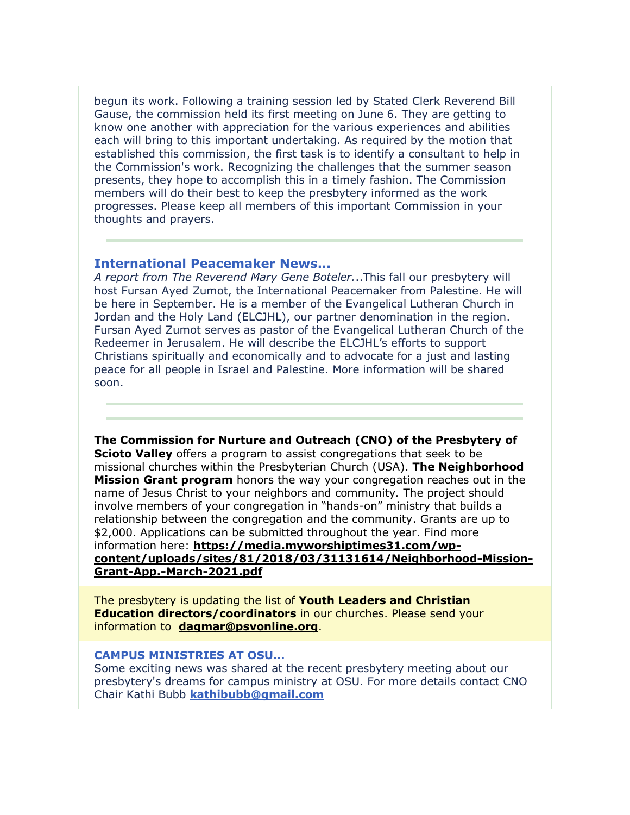begun its work. Following a training session led by Stated Clerk Reverend Bill Gause, the commission held its first meeting on June 6. They are getting to know one another with appreciation for the various experiences and abilities each will bring to this important undertaking. As required by the motion that established this commission, the first task is to identify a consultant to help in the Commission's work. Recognizing the challenges that the summer season presents, they hope to accomplish this in a timely fashion. The Commission members will do their best to keep the presbytery informed as the work progresses. Please keep all members of this important Commission in your thoughts and prayers.

### **International Peacemaker News...**

*A report from The Reverend Mary Gene Boteler.*..This fall our presbytery will host Fursan Ayed Zumot, the International Peacemaker from Palestine. He will be here in September. He is a member of the Evangelical Lutheran Church in Jordan and the Holy Land (ELCJHL), our partner denomination in the region. Fursan Ayed Zumot serves as pastor of the Evangelical Lutheran Church of the Redeemer in Jerusalem. He will describe the ELCJHL's efforts to support Christians spiritually and economically and to advocate for a just and lasting peace for all people in Israel and Palestine. More information will be shared soon.

**The Commission for Nurture and Outreach (CNO) of the Presbytery of Scioto Valley** offers a program to assist congregations that seek to be missional churches within the Presbyterian Church (USA). **The Neighborhood Mission Grant program** honors the way your congregation reaches out in the name of Jesus Christ to your neighbors and community*.* The project should involve members of your congregation in "hands-on" ministry that builds a relationship between the congregation and the community. Grants are up to \$2,000. Applications can be submitted throughout the year. Find more information here: **[https://media.myworshiptimes31.com/wp](https://media.myworshiptimes31.com/wp-content/uploads/sites/81/2018/03/31131614/Neighborhood-Mission-Grant-App.-March-2021.pdf)[content/uploads/sites/81/2018/03/31131614/Neighborhood-Mission-](https://media.myworshiptimes31.com/wp-content/uploads/sites/81/2018/03/31131614/Neighborhood-Mission-Grant-App.-March-2021.pdf)[Grant-App.-March-2021.pdf](https://media.myworshiptimes31.com/wp-content/uploads/sites/81/2018/03/31131614/Neighborhood-Mission-Grant-App.-March-2021.pdf)**

The presbytery is updating the list of **Youth Leaders and Christian Education directors/coordinators** in our churches. Please send your information to **[dagmar@psvonline.org](mailto:dagmar@psvonline.org)**.

#### **CAMPUS MINISTRIES AT OSU...**

Some exciting news was shared at the recent presbytery meeting about our presbytery's dreams for campus ministry at OSU. For more details contact CNO Chair Kathi Bubb **[kathibubb@gmail.com](mailto:kathibubb@gmail.com)**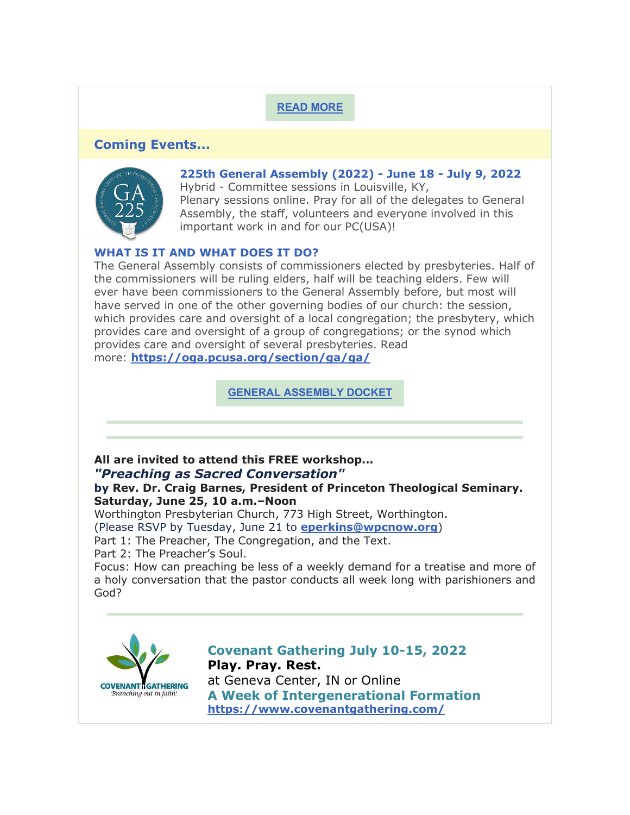# **[READ MORE](https://psvonline.org/publication/campus-ministry-presbytery-talk-may-2022/)**

# **Coming Events...**



**225th General Assembly (2022) - June 18 - July 9, 2022**

Hybrid - Committee sessions in Louisville, KY, Plenary sessions online. Pray for all of the delegates to General Assembly, the staff, volunteers and everyone involved in this important work in and for our PC(USA)!

# **WHAT IS IT AND WHAT DOES IT DO?**

The General Assembly consists of commissioners elected by presbyteries. Half of the commissioners will be ruling elders, half will be teaching elders. Few will ever have been commissioners to the General Assembly before, but most will have served in one of the other governing bodies of our church: the session, which provides care and oversight of a local congregation; the presbytery, which provides care and oversight of a group of congregations; or the synod which provides care and oversight of several presbyteries. Read more: **<https://oga.pcusa.org/section/ga/ga/>**

**[GENERAL ASSEMBLY DOCKET](https://www.pcusa.org/site_media/media/uploads/_ga225/pdf/ga225_docket_feb02_2022.pdf)**

# **All are invited to attend this FREE workshop...** *"Preaching as Sacred Conversation"*

# **by Rev. Dr. Craig Barnes, President of Princeton Theological Seminary. Saturday, June 25, 10 a.m.–Noon**

Worthington Presbyterian Church, 773 High Street, Worthington.

(Please RSVP by Tuesday, June 21 to **[eperkins@wpcnow.org](mailto:eperkins@wpcnow.org)**)

Part 1: The Preacher, The Congregation, and the Text.

Part 2: The Preacher's Soul.

Focus: How can preaching be less of a weekly demand for a treatise and more of a holy conversation that the pastor conducts all week long with parishioners and God?



**Covenant Gathering July 10-15, 2022 Play. Pray. Rest.** at Geneva Center, IN or Online **A Week of Intergenerational Formation <https://www.covenantgathering.com/>**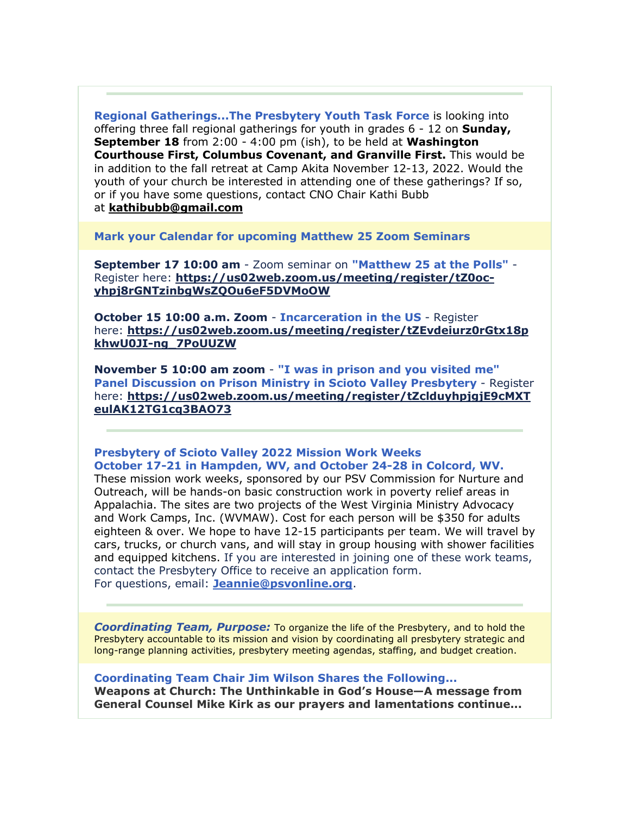**Regional Gatherings...The Presbytery Youth Task Force** is looking into offering three fall regional gatherings for youth in grades 6 - 12 on **Sunday, September 18** from 2:00 - 4:00 pm (ish), to be held at **Washington Courthouse First, Columbus Covenant, and Granville First.** This would be in addition to the fall retreat at Camp Akita November 12-13, 2022. Would the youth of your church be interested in attending one of these gatherings? If so, or if you have some questions, contact CNO Chair Kathi Bubb

at **[kathibubb@gmail.com](mailto:kathibubb@gmail.com)**

**Mark your Calendar for upcoming Matthew 25 Zoom Seminars**

**September 17 10:00 am** - Zoom seminar on **"Matthew 25 at the Polls"** - Register here: **[https://us02web.zoom.us/meeting/register/tZ0oc](https://us02web.zoom.us/meeting/register/tZ0oc-yhpj8rGNTzinbgWsZQOu6eF5DVMoOW)[yhpj8rGNTzinbgWsZQOu6eF5DVMoOW](https://us02web.zoom.us/meeting/register/tZ0oc-yhpj8rGNTzinbgWsZQOu6eF5DVMoOW)**

**October 15 10:00 a.m. Zoom** - **Incarceration in the US** - Register here: **[https://us02web.zoom.us/meeting/register/tZEvdeiurz0rGtx18p](https://us02web.zoom.us/meeting/register/tZEvdeiurz0rGtx18pkhwU0JI-ng_7PoUUZW) [khwU0JI-ng\\_7PoUUZW](https://us02web.zoom.us/meeting/register/tZEvdeiurz0rGtx18pkhwU0JI-ng_7PoUUZW)**

**November 5 10:00 am zoom** - **"I was in prison and you visited me" Panel Discussion on Prison Ministry in Scioto Valley Presbytery** - Register here: **[https://us02web.zoom.us/meeting/register/tZclduyhpjgjE9cMXT](https://us02web.zoom.us/meeting/register/tZclduyhpjgjE9cMXTeulAK12TG1cq3BAO73) [eulAK12TG1cq3BAO73](https://us02web.zoom.us/meeting/register/tZclduyhpjgjE9cMXTeulAK12TG1cq3BAO73)**

# **Presbytery of Scioto Valley 2022 Mission Work Weeks October 17-21 in Hampden, WV, and October 24-28 in Colcord, WV.**

These mission work weeks, sponsored by our PSV Commission for Nurture and Outreach, will be hands-on basic construction work in poverty relief areas in Appalachia. The sites are two projects of the West Virginia Ministry Advocacy and Work Camps, Inc. (WVMAW). Cost for each person will be \$350 for adults eighteen & over. We hope to have 12-15 participants per team. We will travel by cars, trucks, or church vans, and will stay in group housing with shower facilities and equipped kitchens. If you are interested in joining one of these work teams, contact the Presbytery Office to receive an application form. For questions, email: **[Jeannie@psvonline.org](mailto:Jeannie@psvonline.org)**.

*Coordinating Team, Purpose:* To organize the life of the Presbytery, and to hold the Presbytery accountable to its mission and vision by coordinating all presbytery strategic and long-range planning activities, presbytery meeting agendas, staffing, and budget creation.

**Coordinating Team Chair Jim Wilson Shares the Following...**

**Weapons at Church: The Unthinkable in God's House—A message from General Counsel Mike Kirk as our prayers and lamentations continue...**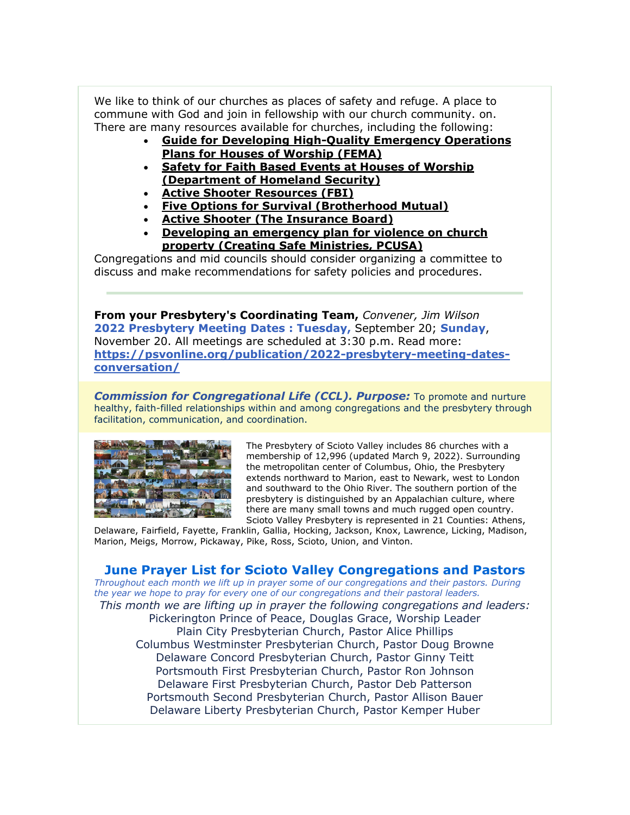We like to think of our churches as places of safety and refuge. A place to commune with God and join in fellowship with our church community. on. There are many resources available for churches, including the following:

- **[Guide for Developing High-Quality Emergency Operations](https://www.dhs.gov/sites/default/files/publications/Developing_EOPs_for_Houses_of_Worship_FINAL.PDF)  [Plans for Houses of Worship \(FEMA\)](https://www.dhs.gov/sites/default/files/publications/Developing_EOPs_for_Houses_of_Worship_FINAL.PDF)**
- **[Safety for Faith Based Events at Houses of Worship](https://www.dhs.gov/publication/safety-faith-based-events-and-houses-worship-nsi-awareness-flyer)  [\(Department of Homeland Security\)](https://www.dhs.gov/publication/safety-faith-based-events-and-houses-worship-nsi-awareness-flyer)**
- **[Active Shooter Resources \(FBI\)](https://www.fbi.gov/about/partnerships/office-of-partner-engagement/active-shooter-resources)**
- **[Five Options for Survival \(Brotherhood Mutual\)](https://www.brotherhoodmutual.com/resources/safety-library/risk-management-articles/disasters-emergencies-and-health/violence-at-church/surviving-a-violent-attack-at-church/)**
- **[Active Shooter \(The Insurance Board\)](https://www.insuranceboard.org/active-shooter/)**
- **[Developing an emergency plan for violence on church](https://www.presbyterianmission.org/legal-resources/creating-safe-ministries/developing-an-emergency-plan-for-violence-on-church-property/)  [property \(Creating Safe Ministries, PCUSA\)](https://www.presbyterianmission.org/legal-resources/creating-safe-ministries/developing-an-emergency-plan-for-violence-on-church-property/)**

Congregations and mid councils should consider organizing a committee to discuss and make recommendations for safety policies and procedures.

**From your Presbytery's Coordinating Team,** *Convener, Jim Wilson* **2022 Presbytery Meeting Dates : Tuesday,** September 20; **Sunday**, November 20. All meetings are scheduled at 3:30 p.m. Read more: **[https://psvonline.org/publication/2022-presbytery-meeting-dates](https://psvonline.org/publication/2022-presbytery-meeting-dates-conversation/)[conversation/](https://psvonline.org/publication/2022-presbytery-meeting-dates-conversation/)**

*Commission for Congregational Life (CCL). Purpose:* To promote and nurture healthy, faith-filled relationships within and among congregations and the presbytery through facilitation, communication, and coordination.



The Presbytery of Scioto Valley includes 86 churches with a membership of 12,996 (updated March 9, 2022). Surrounding the metropolitan center of Columbus, Ohio, the Presbytery extends northward to Marion, east to Newark, west to London and southward to the Ohio River. The southern portion of the presbytery is distinguished by an Appalachian culture, where there are many small towns and much rugged open country. Scioto Valley Presbytery is represented in 21 Counties: Athens,

Delaware, Fairfield, Fayette, Franklin, Gallia, Hocking, Jackson, Knox, Lawrence, Licking, Madison, Marion, Meigs, Morrow, Pickaway, Pike, Ross, Scioto, Union, and Vinton.

# **June Prayer List for Scioto Valley Congregations and Pastors**

*Throughout each month we lift up in prayer some of our congregations and their pastors. During the year we hope to pray for every one of our congregations and their pastoral leaders.*

*This month we are lifting up in prayer the following congregations and leaders:* Pickerington Prince of Peace, Douglas Grace, Worship Leader Plain City Presbyterian Church, Pastor Alice Phillips Columbus Westminster Presbyterian Church, Pastor Doug Browne Delaware Concord Presbyterian Church, Pastor Ginny Teitt Portsmouth First Presbyterian Church, Pastor Ron Johnson Delaware First Presbyterian Church, Pastor Deb Patterson Portsmouth Second Presbyterian Church, Pastor Allison Bauer Delaware Liberty Presbyterian Church, Pastor Kemper Huber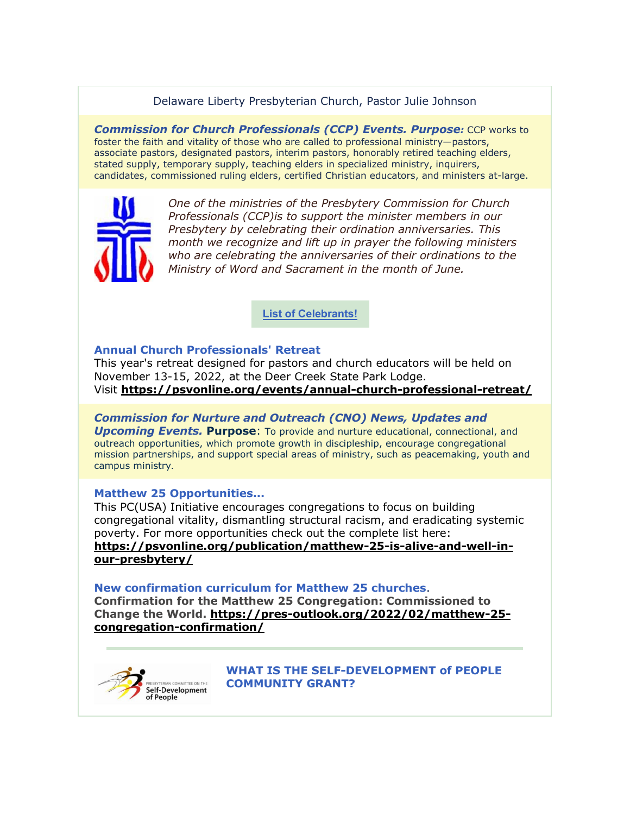# Delaware Liberty Presbyterian Church, Pastor Julie Johnson

*Commission for Church Professionals (CCP) Events. Purpose:* CCP works to foster the faith and vitality of those who are called to professional ministry—pastors, associate pastors, designated pastors, interim pastors, honorably retired teaching elders, stated supply, temporary supply, teaching elders in specialized ministry, inquirers, candidates, commissioned ruling elders, certified Christian educators, and ministers at-large.



*One of the ministries of the Presbytery Commission for Church Professionals (CCP)is to support the minister members in our Presbytery by celebrating their ordination anniversaries. This month we recognize and lift up in prayer the following ministers who are celebrating the anniversaries of their ordinations to the Ministry of Word and Sacrament in the month of June.*

**[List of Celebrants!](https://psvonline.org/publication/ordination-celebration-for-june-2022)**

### **Annual Church Professionals' Retreat**

This year's retreat designed for pastors and church educators will be held on November 13-15, 2022, at the Deer Creek State Park Lodge. Visit **<https://psvonline.org/events/annual-church-professional-retreat/>**

# *Commission for Nurture and Outreach (CNO) News, Updates and*

*Upcoming Events.* **Purpose**: To provide and nurture educational, connectional, and outreach opportunities, which promote growth in discipleship, encourage congregational mission partnerships, and support special areas of ministry, such as peacemaking, youth and campus ministry.

### **Matthew 25 Opportunities...**

This PC(USA) Initiative encourages congregations to focus on building congregational vitality, dismantling structural racism, and eradicating systemic poverty. For more opportunities check out the complete list here: **[https://psvonline.org/publication/matthew-25-is-alive-and-well-in](https://psvonline.org/publication/matthew-25-is-alive-and-well-in-our-presbytery/)[our-presbytery/](https://psvonline.org/publication/matthew-25-is-alive-and-well-in-our-presbytery/)**

#### **New confirmation curriculum for Matthew 25 churches**.

**Confirmation for the Matthew 25 Congregation: Commissioned to Change the World. [https://pres-outlook.org/2022/02/matthew-25](https://pres-outlook.org/2022/02/matthew-25-congregation-confirmation/) [congregation-confirmation/](https://pres-outlook.org/2022/02/matthew-25-congregation-confirmation/)**



**WHAT IS THE SELF-DEVELOPMENT of PEOPLE COMMUNITY GRANT?**